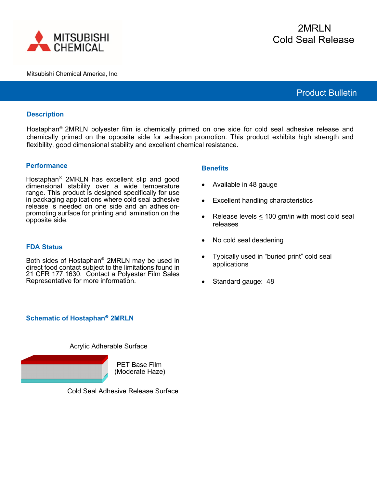

Product Bulletin

### **Description**

Hostaphan<sup>®</sup> 2MRLN polyester film is chemically primed on one side for cold seal adhesive release and chemically primed on the opposite side for adhesion promotion. This product exhibits high strength and flexibility, good dimensional stability and excellent chemical resistance.

# **Performance**

Hostaphan<sup>®</sup> 2MRLN has excellent slip and good dimensional stability over a wide temperature range. This product is designed specifically for use in packaging applications where cold seal adhesive promoting surface for printing and lamination on the opposite side.

### **FDA Status**

Both sides of Hostaphan<sup>®</sup> 2MRLN may be used in direct food contact subject to the limitations found in 21 CFR 177.1630. Contact a Polyester Film Sales Representative for more information.

#### **Benefits**

- Available in 48 gauge
- **Excellent handling characteristics**
- Release levels  $\leq 100$  gm/in with most cold seal releases
- No cold seal deadening
- Typically used in "buried print" cold seal applications
- Standard gauge: 48

### **Schematic of Hostaphan<sup>®</sup> 2MRLN**

Acrylic Adherable Surface



 PET Base Film (Moderate Haze)

Cold Seal Adhesive Release Surface